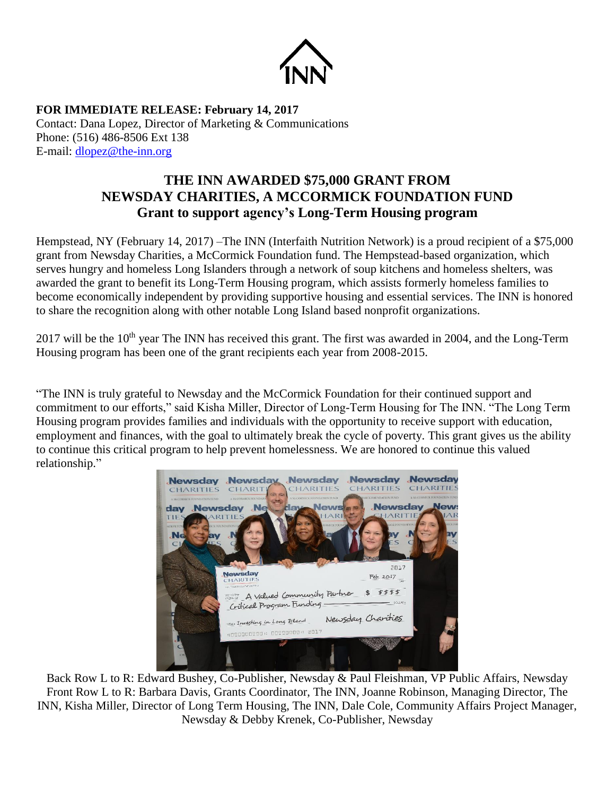

**FOR IMMEDIATE RELEASE: February 14, 2017** Contact: Dana Lopez, Director of Marketing & Communications Phone: (516) 486-8506 Ext 138 E-mail: [dlopez@the-inn.org](mailto:dlopez@the-inn.org)

## **THE INN AWARDED \$75,000 GRANT FROM NEWSDAY CHARITIES, A MCCORMICK FOUNDATION FUND Grant to support agency's Long-Term Housing program**

Hempstead, NY (February 14, 2017) –The INN (Interfaith Nutrition Network) is a proud recipient of a \$75,000 grant from Newsday Charities, a McCormick Foundation fund. The Hempstead-based organization, which serves hungry and homeless Long Islanders through a network of soup kitchens and homeless shelters, was awarded the grant to benefit its Long-Term Housing program, which assists formerly homeless families to become economically independent by providing supportive housing and essential services. The INN is honored to share the recognition along with other notable Long Island based nonprofit organizations.

2017 will be the 10<sup>th</sup> year The INN has received this grant. The first was awarded in 2004, and the Long-Term Housing program has been one of the grant recipients each year from 2008-2015.

"The INN is truly grateful to Newsday and the McCormick Foundation for their continued support and commitment to our efforts," said Kisha Miller, Director of Long-Term Housing for The INN. "The Long Term Housing program provides families and individuals with the opportunity to receive support with education, employment and finances, with the goal to ultimately break the cycle of poverty. This grant gives us the ability to continue this critical program to help prevent homelessness. We are honored to continue this valued relationship."



Back Row L to R: Edward Bushey, Co-Publisher, Newsday & Paul Fleishman, VP Public Affairs, Newsday Front Row L to R: Barbara Davis, Grants Coordinator, The INN, Joanne Robinson, Managing Director, The INN, Kisha Miller, Director of Long Term Housing, The INN, Dale Cole, Community Affairs Project Manager, Newsday & Debby Krenek, Co-Publisher, Newsday